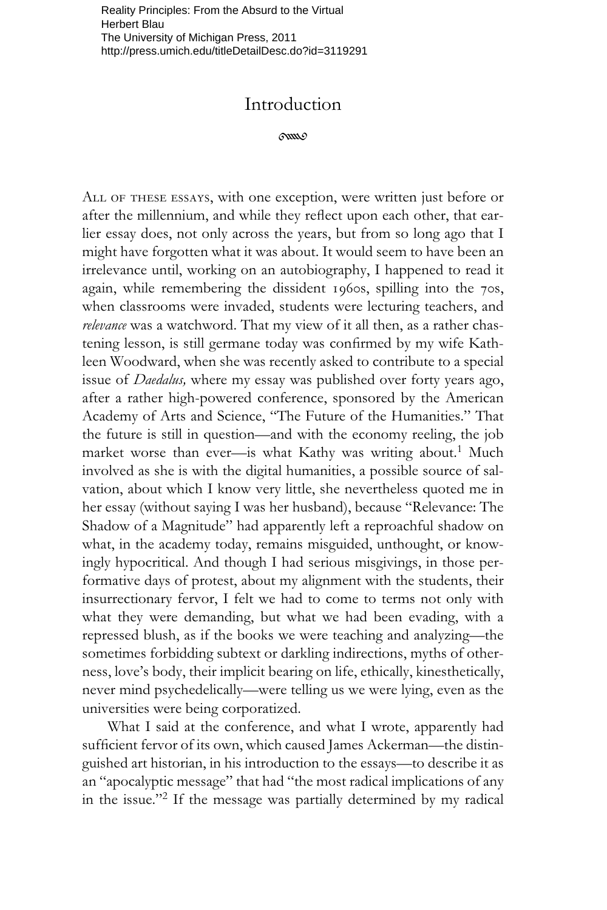# Introduction

 $600$ 

ALL OF THESE ESSAYS, with one exception, were written just before or after the millennium, and while they reflect upon each other, that earlier essay does, not only across the years, but from so long ago that I might have forgotten what it was about. It would seem to have been an irrelevance until, working on an autobiography, I happened to read it again, while remembering the dissident 1960s, spilling into the 70s, when classrooms were invaded, students were lecturing teachers, and *relevance* was a watchword. That my view of it all then, as a rather chastening lesson, is still germane today was confirmed by my wife Kathleen Woodward, when she was recently asked to contribute to a special issue of *Daedalus,* where my essay was published over forty years ago, after a rather high-powered conference, sponsored by the American Academy of Arts and Science, "The Future of the Humanities." That the future is still in question—and with the economy reeling, the job market worse than ever—is what Kathy was writing about.<sup>1</sup> Much involved as she is with the digital humanities, a possible source of salvation, about which I know very little, she nevertheless quoted me in her essay (without saying I was her husband), because "Relevance: The Shadow of a Magnitude" had apparently left a reproachful shadow on what, in the academy today, remains misguided, unthought, or knowingly hypocritical. And though I had serious misgivings, in those performative days of protest, about my alignment with the students, their insurrectionary fervor, I felt we had to come to terms not only with what they were demanding, but what we had been evading, with a repressed blush, as if the books we were teaching and analyzing—the sometimes forbidding subtext or darkling indirections, myths of otherness, love's body, their implicit bearing on life, ethically, kinesthetically, never mind psychedelically—were telling us we were lying, even as the universities were being corporatized.

What I said at the conference, and what I wrote, apparently had sufficient fervor of its own, which caused James Ackerman—the distinguished art historian, in his introduction to the essays—to describe it as an "apocalyptic message" that had "the most radical implications of any in the issue."<sup>2</sup> If the message was partially determined by my radical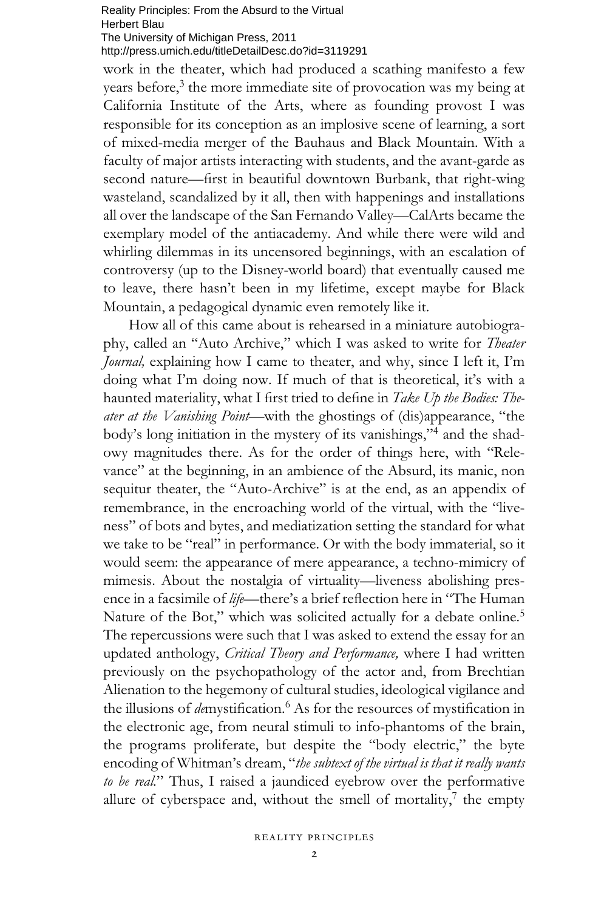work in the theater, which had produced a scathing manifesto a few years before, $3$  the more immediate site of provocation was my being at California Institute of the Arts, where as founding provost I was responsible for its conception as an implosive scene of learning, a sort of mixed-media merger of the Bauhaus and Black Mountain. With a faculty of major artists interacting with students, and the avant-garde as second nature—first in beautiful downtown Burbank, that right-wing wasteland, scandalized by it all, then with happenings and installations all over the landscape of the San Fernando Valley—CalArts became the exemplary model of the antiacademy. And while there were wild and whirling dilemmas in its uncensored beginnings, with an escalation of controversy (up to the Disney-world board) that eventually caused me to leave, there hasn't been in my lifetime, except maybe for Black Mountain, a pedagogical dynamic even remotely like it.

How all of this came about is rehearsed in a miniature autobiography, called an "Auto Archive," which I was asked to write for *Theater Journal*, explaining how I came to theater, and why, since I left it, I'm doing what I'm doing now. If much of that is theoretical, it's with a haunted materiality, what I first tried to define in *Take Up the Bodies: Theater at the Vanishing Point*—with the ghostings of (dis)appearance, "the body's long initiation in the mystery of its vanishings,"<sup>4</sup> and the shadowy magnitudes there. As for the order of things here, with "Relevance" at the beginning, in an ambience of the Absurd, its manic, non sequitur theater, the "Auto-Archive" is at the end, as an appendix of remembrance, in the encroaching world of the virtual, with the "liveness" of bots and bytes, and mediatization setting the standard for what we take to be "real" in performance. Or with the body immaterial, so it would seem: the appearance of mere appearance, a techno-mimicry of mimesis. About the nostalgia of virtuality—liveness abolishing presence in a facsimile of *life*—there's a brief reflection here in "The Human Nature of the Bot," which was solicited actually for a debate online.<sup>5</sup> The repercussions were such that I was asked to extend the essay for an updated anthology, *Critical Theory and Performance,* where I had written previously on the psychopathology of the actor and, from Brechtian Alienation to the hegemony of cultural studies, ideological vigilance and the illusions of *de*mystification.<sup>6</sup> As for the resources of mystification in the electronic age, from neural stimuli to info-phantoms of the brain, the programs proliferate, but despite the "body electric," the byte encoding of Whitman's dream, "*the subtext of the virtual is that it really wants to be real.*" Thus, I raised a jaundiced eyebrow over the performative allure of cyberspace and, without the smell of mortality, $\bar{y}$  the empty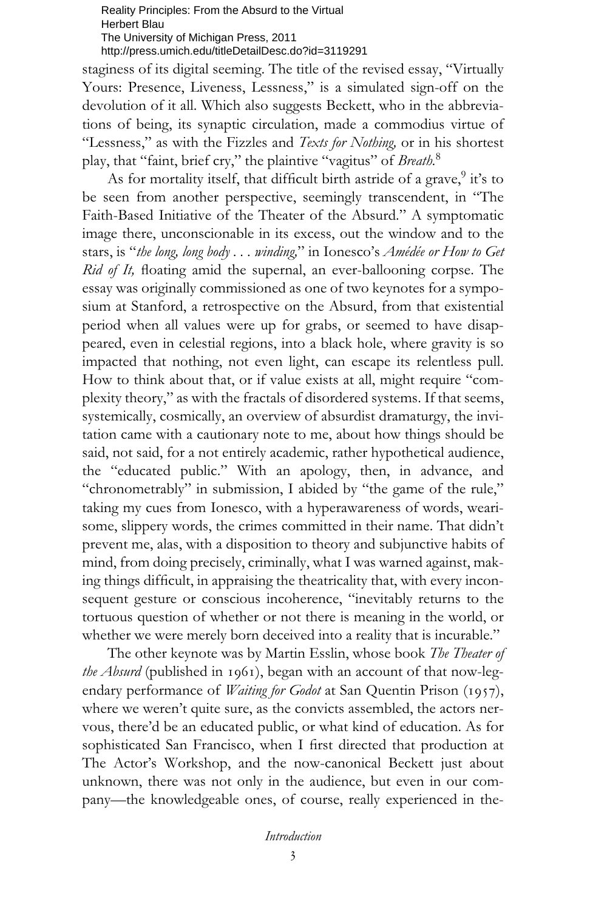staginess of its digital seeming. The title of the revised essay, "Virtually Yours: Presence, Liveness, Lessness," is a simulated sign-off on the devolution of it all. Which also suggests Beckett, who in the abbreviations of being, its synaptic circulation, made a commodius virtue of "Lessness," as with the Fizzles and *Texts for Nothing,* or in his shortest play, that "faint, brief cry," the plaintive "vagitus" of *Breath.*<sup>8</sup>

As for mortality itself, that difficult birth astride of a grave,<sup>9</sup> it's to be seen from another perspective, seemingly transcendent, in "The Faith-Based Initiative of the Theater of the Absurd." A symptomatic image there, unconscionable in its excess, out the window and to the stars, is "*the long, long body . . . winding,*" in Ionesco's *Amédée or How to Get Rid of It,* floating amid the supernal, an ever-ballooning corpse. The essay was originally commissioned as one of two keynotes for a symposium at Stanford, a retrospective on the Absurd, from that existential period when all values were up for grabs, or seemed to have disappeared, even in celestial regions, into a black hole, where gravity is so impacted that nothing, not even light, can escape its relentless pull. How to think about that, or if value exists at all, might require "complexity theory," as with the fractals of disordered systems. If that seems, systemically, cosmically, an overview of absurdist dramaturgy, the invitation came with a cautionary note to me, about how things should be said, not said, for a not entirely academic, rather hypothetical audience, the "educated public." With an apology, then, in advance, and "chronometrably" in submission, I abided by "the game of the rule," taking my cues from Ionesco, with a hyperawareness of words, wearisome, slippery words, the crimes committed in their name. That didn't prevent me, alas, with a disposition to theory and subjunctive habits of mind, from doing precisely, criminally, what I was warned against, making things difficult, in appraising the theatricality that, with every inconsequent gesture or conscious incoherence, "inevitably returns to the tortuous question of whether or not there is meaning in the world, or whether we were merely born deceived into a reality that is incurable."

The other keynote was by Martin Esslin, whose book *The Theater of the Absurd* (published in 1961), began with an account of that now-legendary performance of *Waiting for Godot* at San Quentin Prison (1957), where we weren't quite sure, as the convicts assembled, the actors nervous, there'd be an educated public, or what kind of education. As for sophisticated San Francisco, when I first directed that production at The Actor's Workshop, and the now-canonical Beckett just about unknown, there was not only in the audience, but even in our company—the knowledgeable ones, of course, really experienced in the-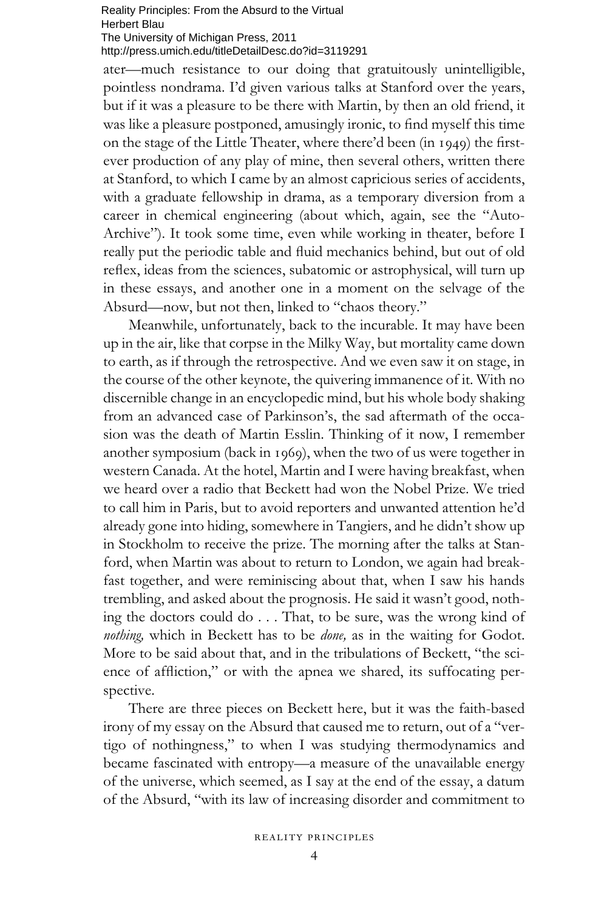ater—much resistance to our doing that gratuitously unintelligible, pointless nondrama. I'd given various talks at Stanford over the years, but if it was a pleasure to be there with Martin, by then an old friend, it was like a pleasure postponed, amusingly ironic, to find myself this time on the stage of the Little Theater, where there'd been (in  $1949$ ) the firstever production of any play of mine, then several others, written there at Stanford, to which I came by an almost capricious series of accidents, with a graduate fellowship in drama, as a temporary diversion from a career in chemical engineering (about which, again, see the "Auto-Archive"). It took some time, even while working in theater, before I really put the periodic table and fluid mechanics behind, but out of old reflex, ideas from the sciences, subatomic or astrophysical, will turn up in these essays, and another one in a moment on the selvage of the Absurd—now, but not then, linked to "chaos theory."

Meanwhile, unfortunately, back to the incurable. It may have been up in the air, like that corpse in the Milky Way, but mortality came down to earth, as if through the retrospective. And we even saw it on stage, in the course of the other keynote, the quivering immanence of it. With no discernible change in an encyclopedic mind, but his whole body shaking from an advanced case of Parkinson's, the sad aftermath of the occasion was the death of Martin Esslin. Thinking of it now, I remember another symposium (back in 1969), when the two of us were together in western Canada. At the hotel, Martin and I were having breakfast, when we heard over a radio that Beckett had won the Nobel Prize. We tried to call him in Paris, but to avoid reporters and unwanted attention he'd already gone into hiding, somewhere in Tangiers, and he didn't show up in Stockholm to receive the prize. The morning after the talks at Stanford, when Martin was about to return to London, we again had breakfast together, and were reminiscing about that, when I saw his hands trembling, and asked about the prognosis. He said it wasn't good, nothing the doctors could do . . . That, to be sure, was the wrong kind of *nothing,* which in Beckett has to be *done,* as in the waiting for Godot. More to be said about that, and in the tribulations of Beckett, "the science of affliction," or with the apnea we shared, its suffocating perspective.

There are three pieces on Beckett here, but it was the faith-based irony of my essay on the Absurd that caused me to return, out of a "vertigo of nothingness," to when I was studying thermodynamics and became fascinated with entropy—a measure of the unavailable energy of the universe, which seemed, as I say at the end of the essay, a datum of the Absurd, "with its law of increasing disorder and commitment to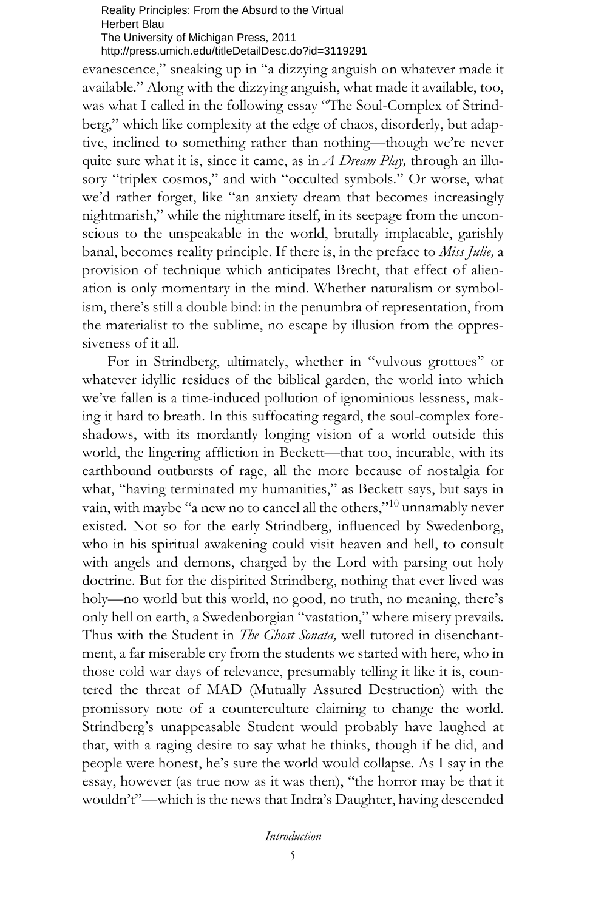evanescence," sneaking up in "a dizzying anguish on whatever made it available." Along with the dizzying anguish, what made it available, too, was what I called in the following essay "The Soul-Complex of Strindberg," which like complexity at the edge of chaos, disorderly, but adaptive, inclined to something rather than nothing—though we're never quite sure what it is, since it came, as in *A Dream Play,* through an illusory "triplex cosmos," and with "occulted symbols." Or worse, what we'd rather forget, like "an anxiety dream that becomes increasingly nightmarish," while the nightmare itself, in its seepage from the unconscious to the unspeakable in the world, brutally implacable, garishly banal, becomes reality principle. If there is, in the preface to *Miss Julie,* a provision of technique which anticipates Brecht, that effect of alienation is only momentary in the mind. Whether naturalism or symbolism, there's still a double bind: in the penumbra of representation, from the materialist to the sublime, no escape by illusion from the oppressiveness of it all.

For in Strindberg, ultimately, whether in "vulvous grottoes" or whatever idyllic residues of the biblical garden, the world into which we've fallen is a time-induced pollution of ignominious lessness, making it hard to breath. In this suffocating regard, the soul-complex foreshadows, with its mordantly longing vision of a world outside this world, the lingering affliction in Beckett—that too, incurable, with its earthbound outbursts of rage, all the more because of nostalgia for what, "having terminated my humanities," as Beckett says, but says in vain, with maybe "a new no to cancel all the others,"<sup>10</sup> unnamably never existed. Not so for the early Strindberg, influenced by Swedenborg, who in his spiritual awakening could visit heaven and hell, to consult with angels and demons, charged by the Lord with parsing out holy doctrine. But for the dispirited Strindberg, nothing that ever lived was holy—no world but this world, no good, no truth, no meaning, there's only hell on earth, a Swedenborgian "vastation," where misery prevails. Thus with the Student in *The Ghost Sonata,* well tutored in disenchantment, a far miserable cry from the students we started with here, who in those cold war days of relevance, presumably telling it like it is, countered the threat of MAD (Mutually Assured Destruction) with the promissory note of a counterculture claiming to change the world. Strindberg's unappeasable Student would probably have laughed at that, with a raging desire to say what he thinks, though if he did, and people were honest, he's sure the world would collapse. As I say in the essay, however (as true now as it was then), "the horror may be that it wouldn't"—which is the news that Indra's Daughter, having descended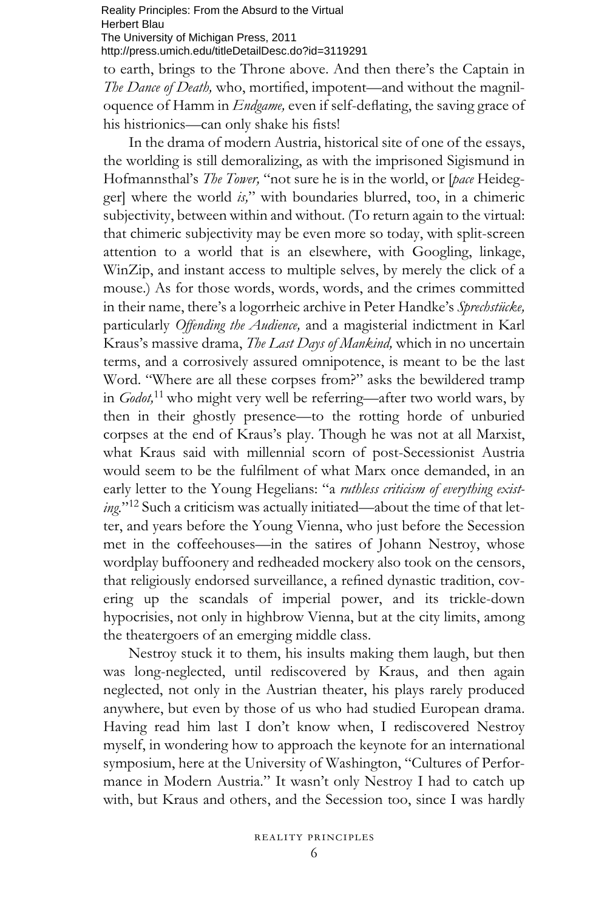to earth, brings to the Throne above. And then there's the Captain in The Dance of Death, who, mortified, impotent—and without the magniloquence of Hamm in *Endgame*, even if self-deflating, the saving grace of his histrionics—can only shake his fists!

In the drama of modern Austria, historical site of one of the essays, the worlding is still demoralizing, as with the imprisoned Sigismund in Hofmannsthal's *The Tower,* "not sure he is in the world, or [*pace* Heidegger] where the world *is,*" with boundaries blurred, too, in a chimeric subjectivity, between within and without. (To return again to the virtual: that chimeric subjectivity may be even more so today, with split-screen attention to a world that is an elsewhere, with Googling, linkage, WinZip, and instant access to multiple selves, by merely the click of a mouse.) As for those words, words, words, and the crimes committed in their name, there's a logorrheic archive in Peter Handke's *Sprechstücke,* particularly *Offending the Audience,* and a magisterial indictment in Karl Kraus's massive drama, *The Last Days of Mankind,* which in no uncertain terms, and a corrosively assured omnipotence, is meant to be the last Word. "Where are all these corpses from?" asks the bewildered tramp in *Godot*,<sup>11</sup> who might very well be referring—after two world wars, by then in their ghostly presence—to the rotting horde of unburied corpses at the end of Kraus's play. Though he was not at all Marxist, what Kraus said with millennial scorn of post-Secessionist Austria would seem to be the fulfilment of what Marx once demanded, in an early letter to the Young Hegelians: "a *ruthless criticism of everything existing.*"<sup>12</sup> Such a criticism was actually initiated—about the time of that letter, and years before the Young Vienna, who just before the Secession met in the coffeehouses—in the satires of Johann Nestroy, whose wordplay buffoonery and redheaded mockery also took on the censors, that religiously endorsed surveillance, a refined dynastic tradition, covering up the scandals of imperial power, and its trickle-down hypocrisies, not only in highbrow Vienna, but at the city limits, among the theatergoers of an emerging middle class.

Nestroy stuck it to them, his insults making them laugh, but then was long-neglected, until rediscovered by Kraus, and then again neglected, not only in the Austrian theater, his plays rarely produced anywhere, but even by those of us who had studied European drama. Having read him last I don't know when, I rediscovered Nestroy myself, in wondering how to approach the keynote for an international symposium, here at the University of Washington, "Cultures of Performance in Modern Austria." It wasn't only Nestroy I had to catch up with, but Kraus and others, and the Secession too, since I was hardly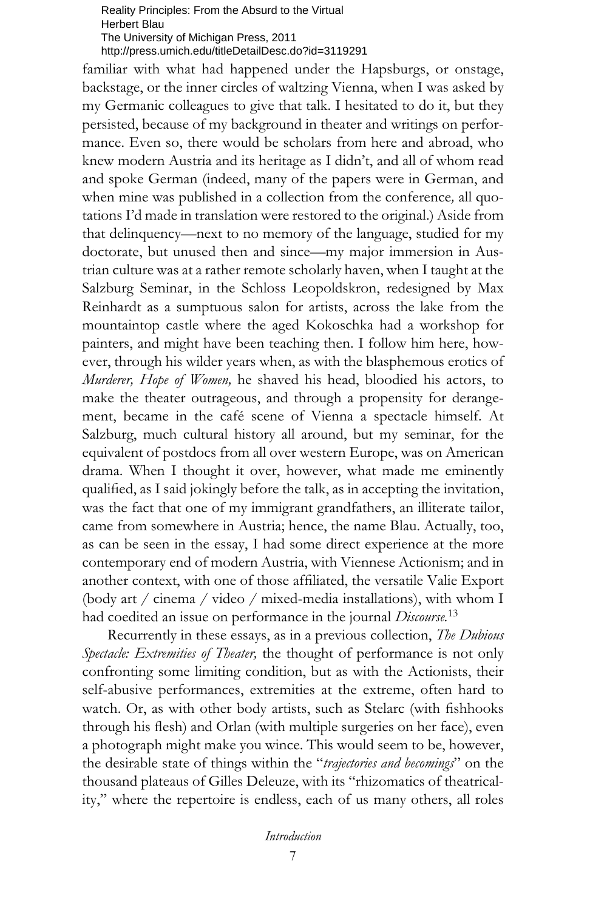familiar with what had happened under the Hapsburgs, or onstage, backstage, or the inner circles of waltzing Vienna, when I was asked by my Germanic colleagues to give that talk. I hesitated to do it, but they persisted, because of my background in theater and writings on performance. Even so, there would be scholars from here and abroad, who knew modern Austria and its heritage as I didn't, and all of whom read and spoke German (indeed, many of the papers were in German, and when mine was published in a collection from the conference*,* all quotations I'd made in translation were restored to the original.) Aside from that delinquency—next to no memory of the language, studied for my doctorate, but unused then and since—my major immersion in Austrian culture was at a rather remote scholarly haven, when I taught at the Salzburg Seminar, in the Schloss Leopoldskron, redesigned by Max Reinhardt as a sumptuous salon for artists, across the lake from the mountaintop castle where the aged Kokoschka had a workshop for painters, and might have been teaching then. I follow him here, however, through his wilder years when, as with the blasphemous erotics of *Murderer, Hope of Women,* he shaved his head, bloodied his actors, to make the theater outrageous, and through a propensity for derangement, became in the café scene of Vienna a spectacle himself. At Salzburg, much cultural history all around, but my seminar, for the equivalent of postdocs from all over western Europe, was on American drama. When I thought it over, however, what made me eminently qualified, as I said jokingly before the talk, as in accepting the invitation, was the fact that one of my immigrant grandfathers, an illiterate tailor, came from somewhere in Austria; hence, the name Blau. Actually, too, as can be seen in the essay, I had some direct experience at the more contemporary end of modern Austria, with Viennese Actionism; and in another context, with one of those affiliated, the versatile Valie Export (body art / cinema / video / mixed-media installations), with whom I had coedited an issue on performance in the journal *Discourse.*<sup>13</sup>

Recurrently in these essays, as in a previous collection, *The Dubious Spectacle: Extremities of Theater,* the thought of performance is not only confronting some limiting condition, but as with the Actionists, their self-abusive performances, extremities at the extreme, often hard to watch. Or, as with other body artists, such as Stelarc (with fishhooks through his flesh) and Orlan (with multiple surgeries on her face), even a photograph might make you wince. This would seem to be, however, the desirable state of things within the "*trajectories and becomings*" on the thousand plateaus of Gilles Deleuze, with its "rhizomatics of theatricality," where the repertoire is endless, each of us many others, all roles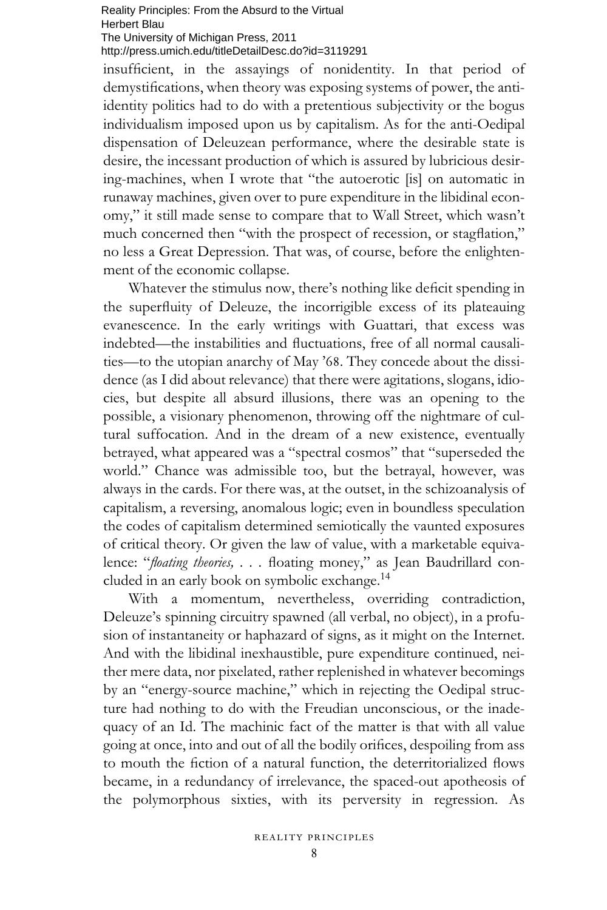insufficient, in the assayings of nonidentity. In that period of demystifications, when theory was exposing systems of power, the antiidentity politics had to do with a pretentious subjectivity or the bogus individualism imposed upon us by capitalism. As for the anti-Oedipal dispensation of Deleuzean performance, where the desirable state is desire, the incessant production of which is assured by lubricious desiring-machines, when I wrote that "the autoerotic [is] on automatic in runaway machines, given over to pure expenditure in the libidinal economy," it still made sense to compare that to Wall Street, which wasn't much concerned then "with the prospect of recession, or stagflation," no less a Great Depression. That was, of course, before the enlightenment of the economic collapse.

Whatever the stimulus now, there's nothing like deficit spending in the superfluity of Deleuze, the incorrigible excess of its plateauing evanescence. In the early writings with Guattari, that excess was indebted—the instabilities and fluctuations, free of all normal causalities—to the utopian anarchy of May '68. They concede about the dissidence (as I did about relevance) that there were agitations, slogans, idiocies, but despite all absurd illusions, there was an opening to the possible, a visionary phenomenon, throwing off the nightmare of cultural suffocation. And in the dream of a new existence, eventually betrayed, what appeared was a "spectral cosmos" that "superseded the world." Chance was admissible too, but the betrayal, however, was always in the cards. For there was, at the outset, in the schizoanalysis of capitalism, a reversing, anomalous logic; even in boundless speculation the codes of capitalism determined semiotically the vaunted exposures of critical theory. Or given the law of value, with a marketable equivalence: "*floating theories*, . . . floating money," as Jean Baudrillard concluded in an early book on symbolic exchange.<sup>14</sup>

With a momentum, nevertheless, overriding contradiction, Deleuze's spinning circuitry spawned (all verbal, no object), in a profusion of instantaneity or haphazard of signs, as it might on the Internet. And with the libidinal inexhaustible, pure expenditure continued, neither mere data, nor pixelated, rather replenished in whatever becomings by an "energy-source machine," which in rejecting the Oedipal structure had nothing to do with the Freudian unconscious, or the inadequacy of an Id. The machinic fact of the matter is that with all value going at once, into and out of all the bodily orifices, despoiling from ass to mouth the fiction of a natural function, the deterritorialized flows became, in a redundancy of irrelevance, the spaced-out apotheosis of the polymorphous sixties, with its perversity in regression. As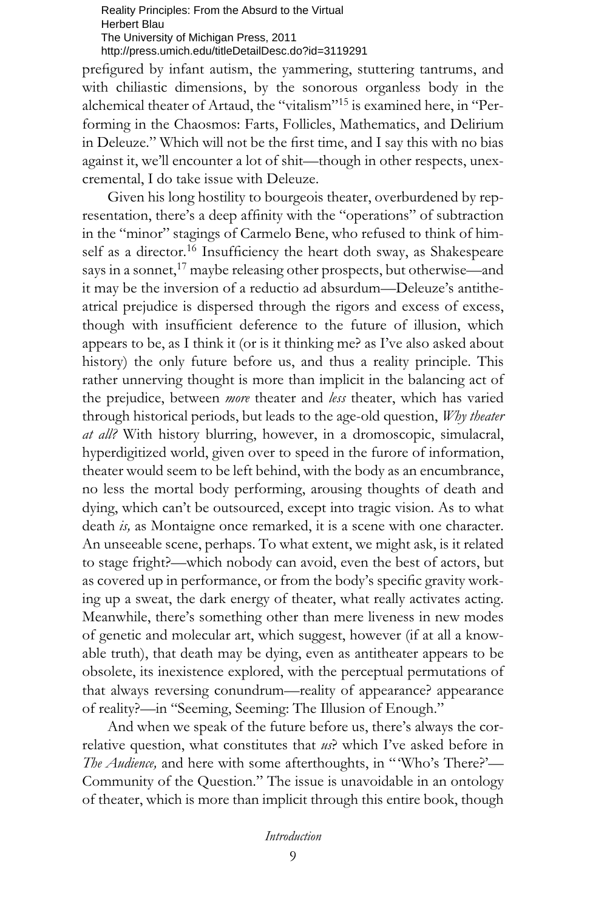prefigured by infant autism, the yammering, stuttering tantrums, and with chiliastic dimensions, by the sonorous organless body in the alchemical theater of Artaud, the "vitalism"<sup>15</sup> is examined here, in "Performing in the Chaosmos: Farts, Follicles, Mathematics, and Delirium in Deleuze." Which will not be the first time, and I say this with no bias against it, we'll encounter a lot of shit—though in other respects, unexcremental, I do take issue with Deleuze.

Given his long hostility to bourgeois theater, overburdened by representation, there's a deep affinity with the "operations" of subtraction in the "minor" stagings of Carmelo Bene, who refused to think of himself as a director.<sup>16</sup> Insufficiency the heart doth sway, as Shakespeare says in a sonnet,<sup>17</sup> maybe releasing other prospects, but otherwise—and it may be the inversion of a reductio ad absurdum*—*Deleuze's antitheatrical prejudice is dispersed through the rigors and excess of excess, though with insufficient deference to the future of illusion, which appears to be, as I think it (or is it thinking me? as I've also asked about history) the only future before us, and thus a reality principle. This rather unnerving thought is more than implicit in the balancing act of the prejudice, between *more* theater and *less* theater, which has varied through historical periods, but leads to the age-old question, *Why theater at all?* With history blurring, however, in a dromoscopic, simulacral, hyperdigitized world, given over to speed in the furore of information, theater would seem to be left behind, with the body as an encumbrance, no less the mortal body performing, arousing thoughts of death and dying, which can't be outsourced, except into tragic vision. As to what death *is,* as Montaigne once remarked, it is a scene with one character. An unseeable scene, perhaps. To what extent, we might ask, is it related to stage fright?—which nobody can avoid, even the best of actors, but as covered up in performance, or from the body's specific gravity working up a sweat, the dark energy of theater, what really activates acting. Meanwhile, there's something other than mere liveness in new modes of genetic and molecular art, which suggest, however (if at all a knowable truth), that death may be dying, even as antitheater appears to be obsolete, its inexistence explored, with the perceptual permutations of that always reversing conundrum—reality of appearance? appearance of reality?—in "Seeming, Seeming: The Illusion of Enough."

And when we speak of the future before us, there's always the correlative question, what constitutes that *us*? which I've asked before in *The Audience,* and here with some afterthoughts, in "'Who's There?'— Community of the Question." The issue is unavoidable in an ontology of theater, which is more than implicit through this entire book, though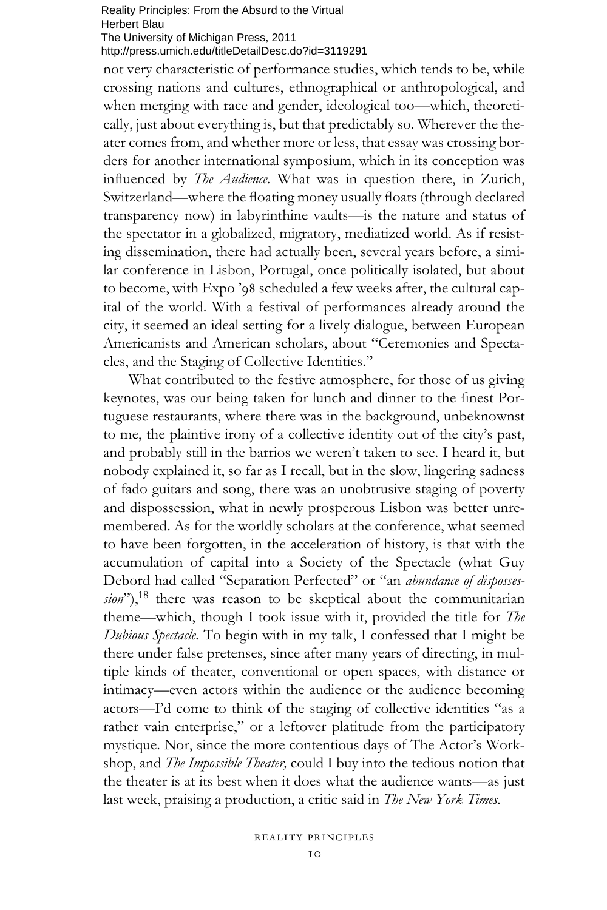not very characteristic of performance studies, which tends to be, while crossing nations and cultures, ethnographical or anthropological, and when merging with race and gender, ideological too—which, theoretically, just about everything is, but that predictably so. Wherever the theater comes from, and whether more or less, that essay was crossing borders for another international symposium, which in its conception was influenced by *The Audience*. What was in question there, in Zurich, Switzerland—where the floating money usually floats (through declared transparency now) in labyrinthine vaults—is the nature and status of the spectator in a globalized, migratory, mediatized world. As if resisting dissemination, there had actually been, several years before, a similar conference in Lisbon, Portugal, once politically isolated, but about to become, with Expo '98 scheduled a few weeks after, the cultural capital of the world. With a festival of performances already around the city, it seemed an ideal setting for a lively dialogue, between European Americanists and American scholars, about "Ceremonies and Spectacles, and the Staging of Collective Identities."

What contributed to the festive atmosphere, for those of us giving keynotes, was our being taken for lunch and dinner to the finest Portuguese restaurants, where there was in the background, unbeknownst to me, the plaintive irony of a collective identity out of the city's past, and probably still in the barrios we weren't taken to see. I heard it, but nobody explained it, so far as I recall, but in the slow, lingering sadness of fado guitars and song, there was an unobtrusive staging of poverty and dispossession, what in newly prosperous Lisbon was better unremembered. As for the worldly scholars at the conference, what seemed to have been forgotten, in the acceleration of history, is that with the accumulation of capital into a Society of the Spectacle (what Guy Debord had called "Separation Perfected" or "an *abundance of disposses*sion"),<sup>18</sup> there was reason to be skeptical about the communitarian theme—which, though I took issue with it, provided the title for *The Dubious Spectacle.* To begin with in my talk, I confessed that I might be there under false pretenses, since after many years of directing, in multiple kinds of theater, conventional or open spaces, with distance or intimacy—even actors within the audience or the audience becoming actors—I'd come to think of the staging of collective identities "as a rather vain enterprise," or a leftover platitude from the participatory mystique. Nor, since the more contentious days of The Actor's Workshop, and *The Impossible Theater,* could I buy into the tedious notion that the theater is at its best when it does what the audience wants—as just last week, praising a production, a critic said in *The New York Times.*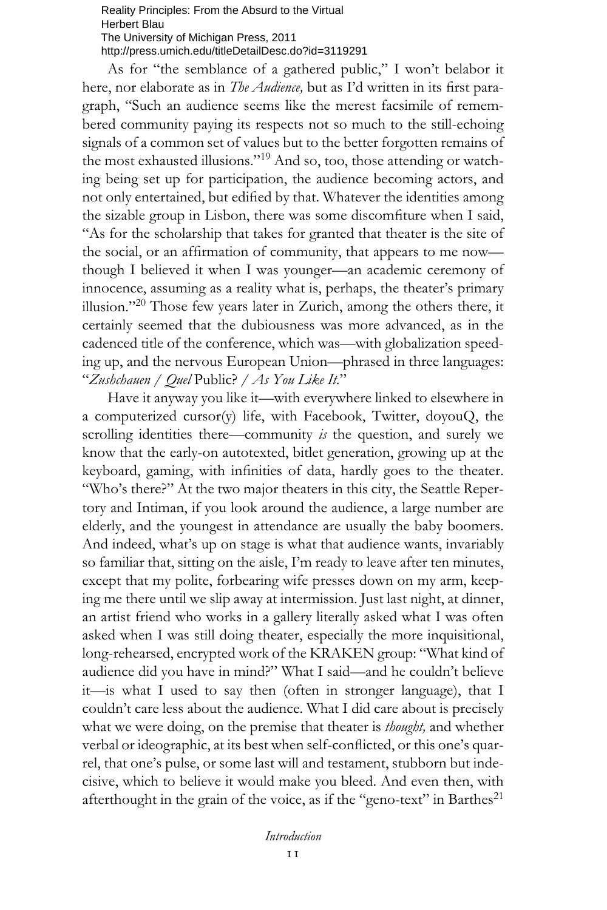As for "the semblance of a gathered public," I won't belabor it here, nor elaborate as in *The Audience*, but as I'd written in its first paragraph, "Such an audience seems like the merest facsimile of remembered community paying its respects not so much to the still-echoing signals of a common set of values but to the better forgotten remains of the most exhausted illusions."<sup>19</sup> And so, too, those attending or watching being set up for participation, the audience becoming actors, and not only entertained, but edified by that. Whatever the identities among the sizable group in Lisbon, there was some discomfiture when I said, "As for the scholarship that takes for granted that theater is the site of the social, or an affirmation of community, that appears to me now though I believed it when I was younger—an academic ceremony of innocence, assuming as a reality what is, perhaps, the theater's primary illusion."<sup>20</sup> Those few years later in Zurich, among the others there, it certainly seemed that the dubiousness was more advanced, as in the cadenced title of the conference, which was—with globalization speeding up, and the nervous European Union—phrased in three languages: "*Zushchauen* / *Quel* Public? / *As You Like It.*"

Have it anyway you like it—with everywhere linked to elsewhere in a computerized cursor(y) life, with Facebook, Twitter, doyouQ, the scrolling identities there—community *is* the question, and surely we know that the early-on autotexted, bitlet generation, growing up at the keyboard, gaming, with infinities of data, hardly goes to the theater. "Who's there?" At the two major theaters in this city, the Seattle Repertory and Intiman, if you look around the audience, a large number are elderly, and the youngest in attendance are usually the baby boomers. And indeed, what's up on stage is what that audience wants, invariably so familiar that, sitting on the aisle, I'm ready to leave after ten minutes, except that my polite, forbearing wife presses down on my arm, keeping me there until we slip away at intermission. Just last night, at dinner, an artist friend who works in a gallery literally asked what I was often asked when I was still doing theater, especially the more inquisitional, long-rehearsed, encrypted work of the KRAKEN group: "What kind of audience did you have in mind?" What I said—and he couldn't believe it—is what I used to say then (often in stronger language), that I couldn't care less about the audience. What I did care about is precisely what we were doing, on the premise that theater is *thought,* and whether verbal or ideographic, at its best when self-conflicted, or this one's quarrel, that one's pulse, or some last will and testament, stubborn but indecisive, which to believe it would make you bleed. And even then, with afterthought in the grain of the voice, as if the "geno-text" in Barthes<sup>21</sup>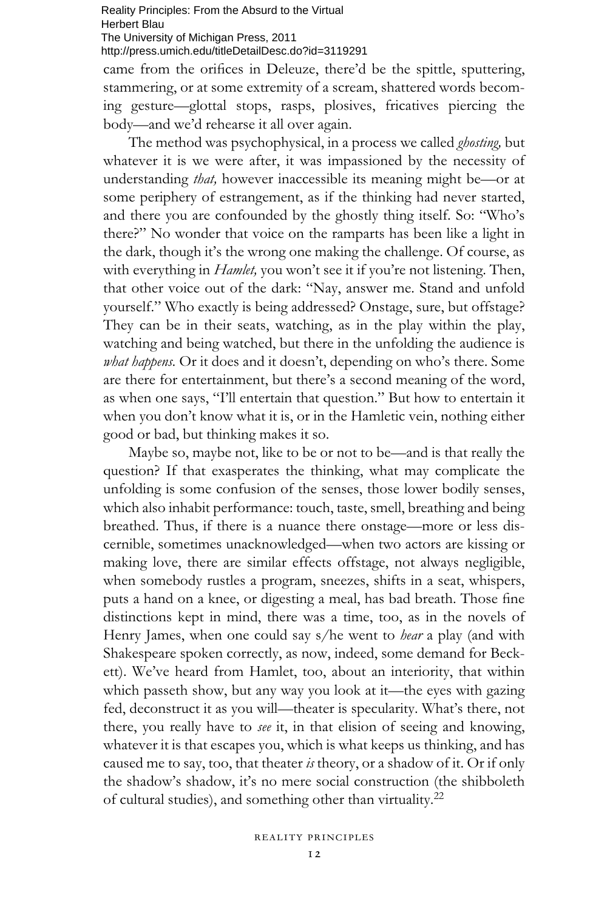came from the orifices in Deleuze, there'd be the spittle, sputtering, Reality Principles: From the Absurd to the Virtual Herbert Blau The University of Michigan Press, 2011 http://press.umich.edu/titleDetailDesc.do?id=3119291

stammering, or at some extremity of a scream, shattered words becoming gesture—glottal stops, rasps, plosives, fricatives piercing the body—and we'd rehearse it all over again.

The method was psychophysical, in a process we called *ghosting,* but whatever it is we were after, it was impassioned by the necessity of understanding *that,* however inaccessible its meaning might be—or at some periphery of estrangement, as if the thinking had never started, and there you are confounded by the ghostly thing itself. So: "Who's there?" No wonder that voice on the ramparts has been like a light in the dark, though it's the wrong one making the challenge. Of course, as with everything in *Hamlet,* you won't see it if you're not listening. Then, that other voice out of the dark: "Nay, answer me. Stand and unfold yourself." Who exactly is being addressed? Onstage, sure, but offstage? They can be in their seats, watching, as in the play within the play, watching and being watched, but there in the unfolding the audience is *what happens.* Or it does and it doesn't, depending on who's there. Some are there for entertainment, but there's a second meaning of the word, as when one says, "I'll entertain that question." But how to entertain it when you don't know what it is, or in the Hamletic vein, nothing either good or bad, but thinking makes it so.

Maybe so, maybe not, like to be or not to be—and is that really the question? If that exasperates the thinking, what may complicate the unfolding is some confusion of the senses, those lower bodily senses, which also inhabit performance: touch, taste, smell, breathing and being breathed. Thus, if there is a nuance there onstage—more or less discernible, sometimes unacknowledged—when two actors are kissing or making love, there are similar effects offstage, not always negligible, when somebody rustles a program, sneezes, shifts in a seat, whispers, puts a hand on a knee, or digesting a meal, has bad breath. Those fine distinctions kept in mind, there was a time, too, as in the novels of Henry James, when one could say s/he went to *hear* a play (and with Shakespeare spoken correctly, as now, indeed, some demand for Beckett). We've heard from Hamlet, too, about an interiority, that within which passeth show, but any way you look at it—the eyes with gazing fed, deconstruct it as you will—theater is specularity. What's there, not there, you really have to *see* it, in that elision of seeing and knowing, whatever it is that escapes you, which is what keeps us thinking, and has caused me to say, too, that theater *is* theory, or a shadow of it. Or if only the shadow's shadow, it's no mere social construction (the shibboleth of cultural studies), and something other than virtuality.<sup>22</sup>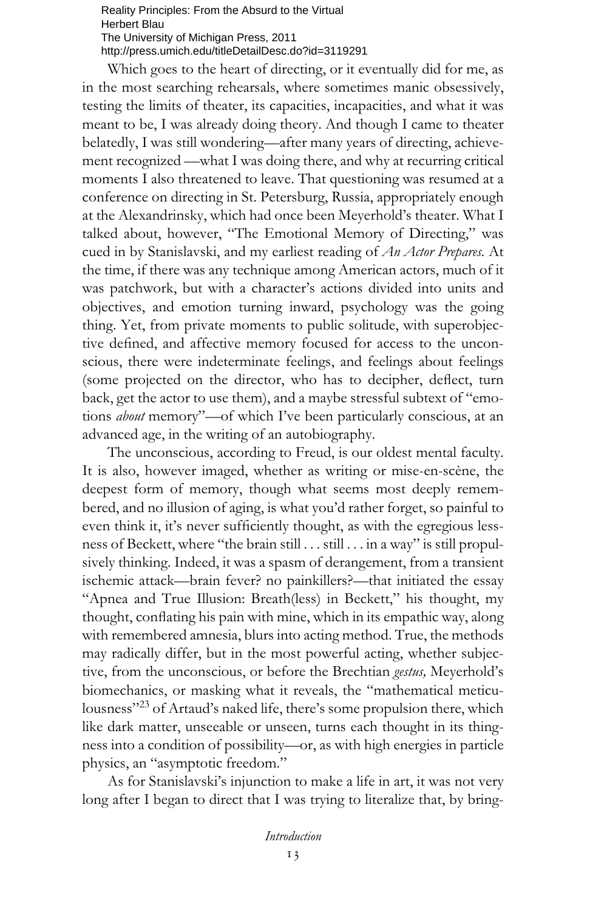Which goes to the heart of directing, or it eventually did for me, as in the most searching rehearsals, where sometimes manic obsessively, testing the limits of theater, its capacities, incapacities, and what it was meant to be, I was already doing theory. And though I came to theater belatedly, I was still wondering—after many years of directing, achievement recognized —what I was doing there, and why at recurring critical moments I also threatened to leave. That questioning was resumed at a conference on directing in St. Petersburg, Russia, appropriately enough at the Alexandrinsky, which had once been Meyerhold's theater. What I talked about, however, "The Emotional Memory of Directing," was cued in by Stanislavski, and my earliest reading of *An Actor Prepares.* At the time, if there was any technique among American actors, much of it was patchwork, but with a character's actions divided into units and objectives, and emotion turning inward, psychology was the going thing. Yet, from private moments to public solitude, with superobjective defined, and affective memory focused for access to the unconscious, there were indeterminate feelings, and feelings about feelings (some projected on the director, who has to decipher, deflect, turn back, get the actor to use them), and a maybe stressful subtext of "emotions *about* memory"—of which I've been particularly conscious, at an advanced age, in the writing of an autobiography.

The unconscious, according to Freud, is our oldest mental faculty. It is also, however imaged, whether as writing or mise-en-scène, the deepest form of memory, though what seems most deeply remembered, and no illusion of aging, is what you'd rather forget, so painful to even think it, it's never sufficiently thought, as with the egregious lessness of Beckett, where "the brain still . . . still . . . in a way" is still propulsively thinking. Indeed, it was a spasm of derangement, from a transient ischemic attack—brain fever? no painkillers?—that initiated the essay "Apnea and True Illusion: Breath(less) in Beckett," his thought, my thought, conflating his pain with mine, which in its empathic way, along with remembered amnesia, blurs into acting method. True, the methods may radically differ, but in the most powerful acting, whether subjective, from the unconscious, or before the Brechtian *gestus,* Meyerhold's biomechanics, or masking what it reveals, the "mathematical meticulousness"<sup>23</sup> of Artaud's naked life, there's some propulsion there, which like dark matter, unseeable or unseen, turns each thought in its thingness into a condition of possibility—or, as with high energies in particle physics, an "asymptotic freedom."

As for Stanislavski's injunction to make a life in art, it was not very long after I began to direct that I was trying to literalize that, by bring-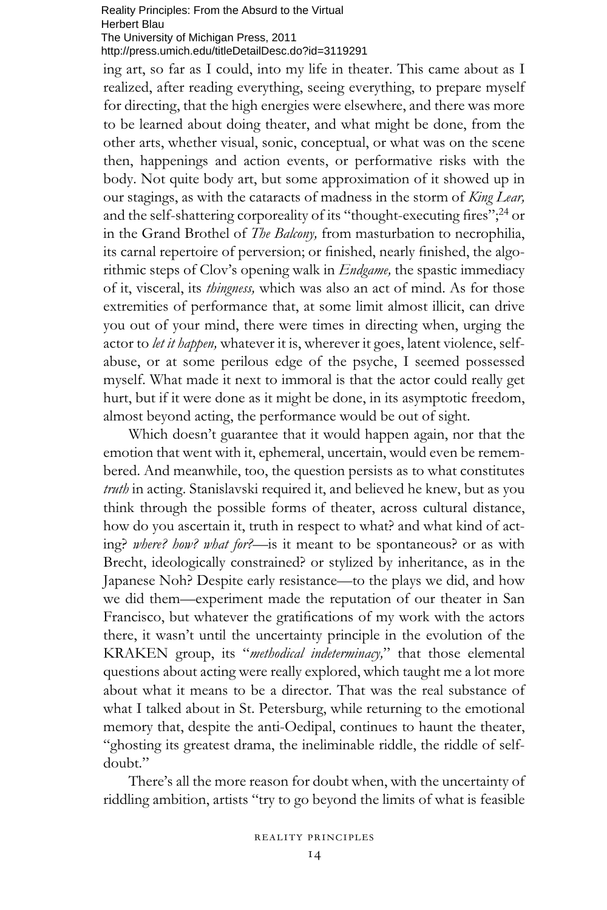ing art, so far as I could, into my life in theater. This came about as I realized, after reading everything, seeing everything, to prepare myself for directing, that the high energies were elsewhere, and there was more to be learned about doing theater, and what might be done, from the other arts, whether visual, sonic, conceptual, or what was on the scene then, happenings and action events, or performative risks with the body. Not quite body art, but some approximation of it showed up in our stagings, as with the cataracts of madness in the storm of *King Lear,* and the self-shattering corporeality of its "thought-executing fires";  $^{24}$  or in the Grand Brothel of *The Balcony,* from masturbation to necrophilia, its carnal repertoire of perversion; or finished, nearly finished, the algorithmic steps of Clov's opening walk in *Endgame,* the spastic immediacy of it, visceral, its *thingness,* which was also an act of mind. As for those extremities of performance that, at some limit almost illicit, can drive you out of your mind, there were times in directing when, urging the actor to *let it happen,* whatever it is, wherever it goes, latent violence, selfabuse, or at some perilous edge of the psyche, I seemed possessed myself. What made it next to immoral is that the actor could really get hurt, but if it were done as it might be done, in its asymptotic freedom, almost beyond acting, the performance would be out of sight.

Which doesn't guarantee that it would happen again, nor that the emotion that went with it, ephemeral, uncertain, would even be remembered. And meanwhile, too, the question persists as to what constitutes *truth* in acting. Stanislavski required it, and believed he knew, but as you think through the possible forms of theater, across cultural distance, how do you ascertain it, truth in respect to what? and what kind of acting? *where? how? what for?—*is it meant to be spontaneous? or as with Brecht, ideologically constrained? or stylized by inheritance, as in the Japanese Noh? Despite early resistance—to the plays we did, and how we did them—experiment made the reputation of our theater in San Francisco, but whatever the gratifications of my work with the actors there, it wasn't until the uncertainty principle in the evolution of the KRAKEN group, its "*methodical indeterminacy,*" that those elemental questions about acting were really explored, which taught me a lot more about what it means to be a director. That was the real substance of what I talked about in St. Petersburg, while returning to the emotional memory that, despite the anti-Oedipal, continues to haunt the theater, "ghosting its greatest drama, the ineliminable riddle, the riddle of selfdoubt."

There's all the more reason for doubt when, with the uncertainty of riddling ambition, artists "try to go beyond the limits of what is feasible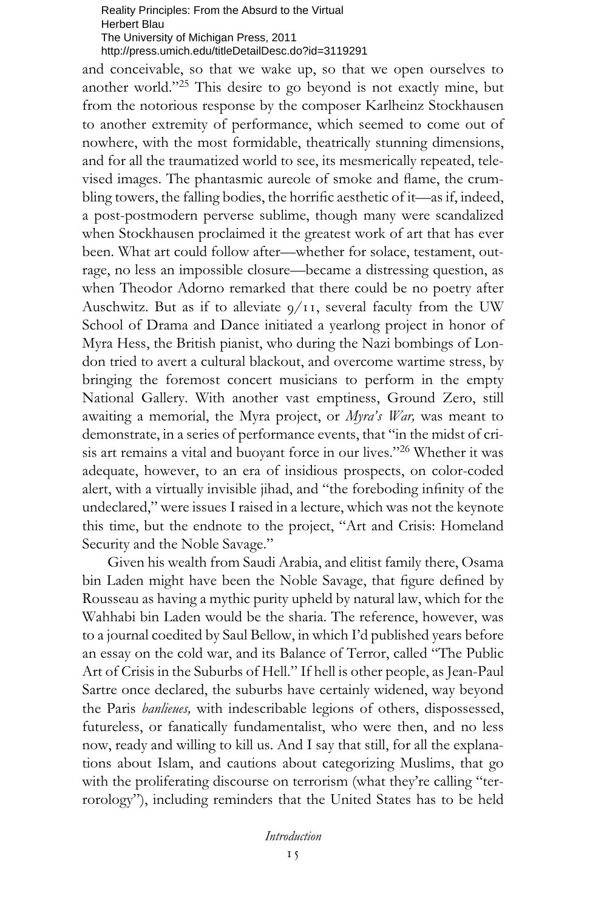and conceivable, so that we wake up, so that we open ourselves to another world."<sup>25</sup> This desire to go beyond is not exactly mine, but from the notorious response by the composer Karlheinz Stockhausen to another extremity of performance, which seemed to come out of nowhere, with the most formidable, theatrically stunning dimensions, and for all the traumatized world to see, its mesmerically repeated, televised images. The phantasmic aureole of smoke and flame, the crumbling towers, the falling bodies, the horrific aesthetic of it—as if, indeed, a post-postmodern perverse sublime, though many were scandalized when Stockhausen proclaimed it the greatest work of art that has ever been. What art could follow after—whether for solace, testament, outrage, no less an impossible closure—became a distressing question, as when Theodor Adorno remarked that there could be no poetry after Auschwitz. But as if to alleviate 9/11, several faculty from the UW School of Drama and Dance initiated a yearlong project in honor of Myra Hess, the British pianist, who during the Nazi bombings of London tried to avert a cultural blackout, and overcome wartime stress, by bringing the foremost concert musicians to perform in the empty National Gallery. With another vast emptiness, Ground Zero, still awaiting a memorial, the Myra project, or *Myra's War,* was meant to demonstrate, in a series of performance events, that "in the midst of crisis art remains a vital and buoyant force in our lives."<sup>26</sup> Whether it was adequate, however, to an era of insidious prospects, on color-coded alert, with a virtually invisible jihad, and "the foreboding infinity of the undeclared," were issues I raised in a lecture, which was not the keynote this time, but the endnote to the project, "Art and Crisis: Homeland Security and the Noble Savage."

Given his wealth from Saudi Arabia, and elitist family there, Osama bin Laden might have been the Noble Savage, that figure defined by Rousseau as having a mythic purity upheld by natural law, which for the Wahhabi bin Laden would be the sharia. The reference, however, was to a journal coedited by Saul Bellow, in which I'd published years before an essay on the cold war, and its Balance of Terror, called "The Public Art of Crisis in the Suburbs of Hell." If hell is other people, as Jean-Paul Sartre once declared, the suburbs have certainly widened, way beyond the Paris *banlieues,* with indescribable legions of others, dispossessed, futureless, or fanatically fundamentalist, who were then, and no less now, ready and willing to kill us. And I say that still, for all the explanations about Islam, and cautions about categorizing Muslims, that go with the proliferating discourse on terrorism (what they're calling "terrorology"), including reminders that the United States has to be held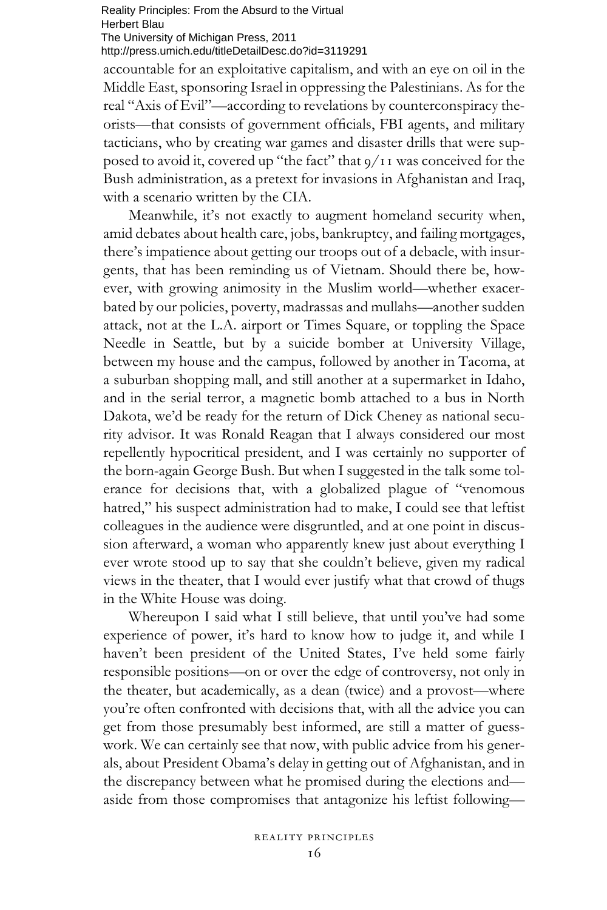accountable for an exploitative capitalism, and with an eye on oil in the Middle East, sponsoring Israel in oppressing the Palestinians. As for the real "Axis of Evil"—according to revelations by counterconspiracy theorists—that consists of government officials, FBI agents, and military tacticians, who by creating war games and disaster drills that were supposed to avoid it, covered up "the fact" that 9/11 was conceived for the Bush administration, as a pretext for invasions in Afghanistan and Iraq, with a scenario written by the CIA.

Meanwhile, it's not exactly to augment homeland security when, amid debates about health care, jobs, bankruptcy, and failing mortgages, there's impatience about getting our troops out of a debacle, with insurgents, that has been reminding us of Vietnam. Should there be, however, with growing animosity in the Muslim world—whether exacerbated by our policies, poverty, madrassas and mullahs—another sudden attack, not at the L.A. airport or Times Square, or toppling the Space Needle in Seattle, but by a suicide bomber at University Village, between my house and the campus, followed by another in Tacoma, at a suburban shopping mall, and still another at a supermarket in Idaho, and in the serial terror, a magnetic bomb attached to a bus in North Dakota, we'd be ready for the return of Dick Cheney as national security advisor. It was Ronald Reagan that I always considered our most repellently hypocritical president, and I was certainly no supporter of the born-again George Bush. But when I suggested in the talk some tolerance for decisions that, with a globalized plague of "venomous hatred," his suspect administration had to make, I could see that leftist colleagues in the audience were disgruntled, and at one point in discussion afterward, a woman who apparently knew just about everything I ever wrote stood up to say that she couldn't believe, given my radical views in the theater, that I would ever justify what that crowd of thugs in the White House was doing.

Whereupon I said what I still believe, that until you've had some experience of power, it's hard to know how to judge it, and while I haven't been president of the United States, I've held some fairly responsible positions—on or over the edge of controversy, not only in the theater, but academically, as a dean (twice) and a provost—where you're often confronted with decisions that, with all the advice you can get from those presumably best informed, are still a matter of guesswork. We can certainly see that now, with public advice from his generals, about President Obama's delay in getting out of Afghanistan, and in the discrepancy between what he promised during the elections and aside from those compromises that antagonize his leftist following—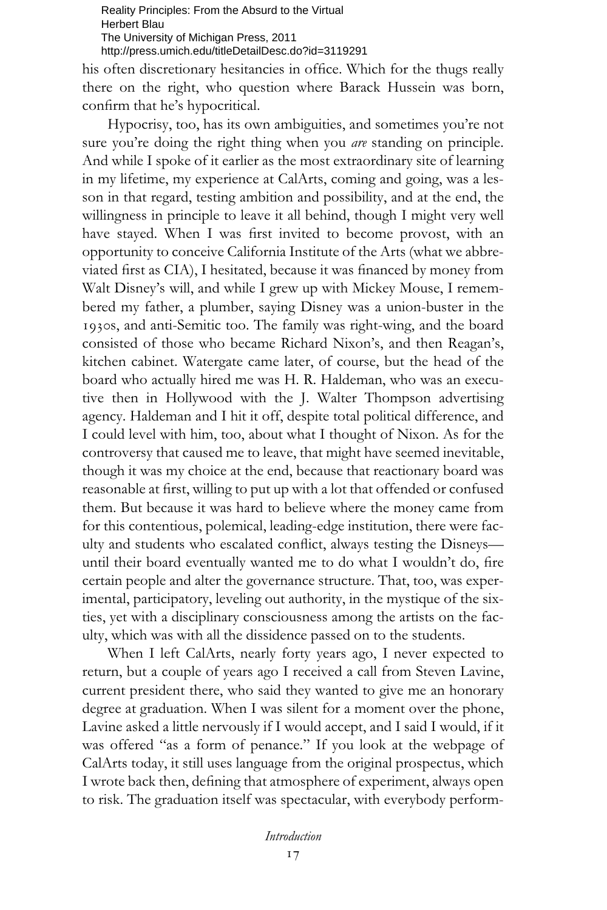his often discretionary hesitancies in office. Which for the thugs really there on the right, who question where Barack Hussein was born, confirm that he's hypocritical.

Hypocrisy, too, has its own ambiguities, and sometimes you're not sure you're doing the right thing when you *are* standing on principle. And while I spoke of it earlier as the most extraordinary site of learning in my lifetime, my experience at CalArts, coming and going, was a lesson in that regard, testing ambition and possibility, and at the end, the willingness in principle to leave it all behind, though I might very well have stayed. When I was first invited to become provost, with an opportunity to conceive California Institute of the Arts (what we abbreviated first as CIA), I hesitated, because it was financed by money from Walt Disney's will, and while I grew up with Mickey Mouse, I remembered my father, a plumber, saying Disney was a union-buster in the 1930s, and anti-Semitic too. The family was right-wing, and the board consisted of those who became Richard Nixon's, and then Reagan's, kitchen cabinet. Watergate came later, of course, but the head of the board who actually hired me was H. R. Haldeman, who was an executive then in Hollywood with the J. Walter Thompson advertising agency. Haldeman and I hit it off, despite total political difference, and I could level with him, too, about what I thought of Nixon. As for the controversy that caused me to leave, that might have seemed inevitable, though it was my choice at the end, because that reactionary board was reasonable at first, willing to put up with a lot that offended or confused them. But because it was hard to believe where the money came from for this contentious, polemical, leading-edge institution, there were faculty and students who escalated conflict, always testing the Disneys until their board eventually wanted me to do what I wouldn't do, fire certain people and alter the governance structure. That, too, was experimental, participatory, leveling out authority, in the mystique of the sixties, yet with a disciplinary consciousness among the artists on the faculty, which was with all the dissidence passed on to the students.

When I left CalArts, nearly forty years ago, I never expected to return, but a couple of years ago I received a call from Steven Lavine, current president there, who said they wanted to give me an honorary degree at graduation. When I was silent for a moment over the phone, Lavine asked a little nervously if I would accept, and I said I would, if it was offered "as a form of penance." If you look at the webpage of CalArts today, it still uses language from the original prospectus, which I wrote back then, defining that atmosphere of experiment, always open to risk. The graduation itself was spectacular, with everybody perform-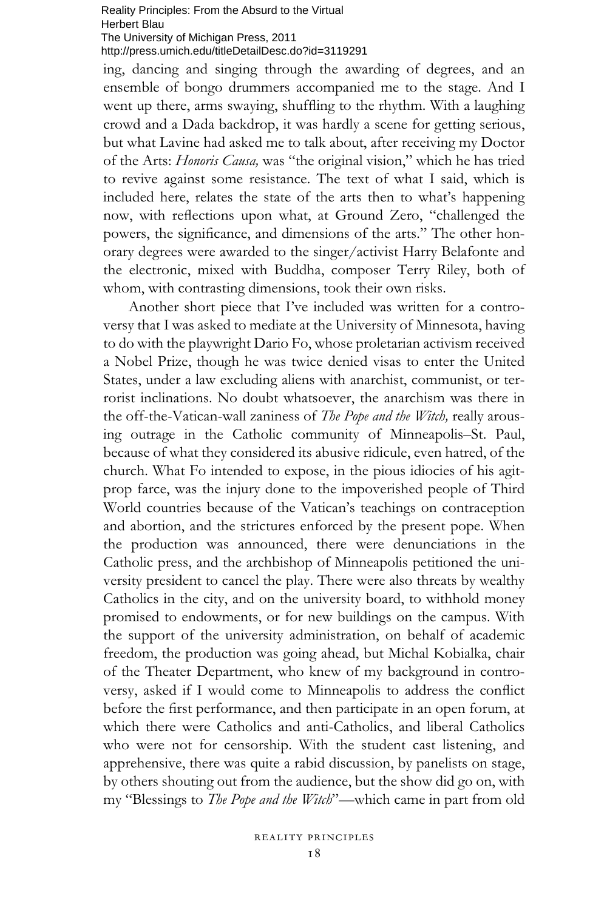ing, dancing and singing through the awarding of degrees, and an ensemble of bongo drummers accompanied me to the stage. And I went up there, arms swaying, shuffling to the rhythm. With a laughing crowd and a Dada backdrop, it was hardly a scene for getting serious, but what Lavine had asked me to talk about, after receiving my Doctor of the Arts: *Honoris Causa,* was "the original vision," which he has tried to revive against some resistance. The text of what I said, which is included here, relates the state of the arts then to what's happening now, with reflections upon what, at Ground Zero, "challenged the powers, the significance, and dimensions of the arts." The other honorary degrees were awarded to the singer/activist Harry Belafonte and the electronic, mixed with Buddha, composer Terry Riley, both of whom, with contrasting dimensions, took their own risks.

Another short piece that I've included was written for a controversy that I was asked to mediate at the University of Minnesota, having to do with the playwright Dario Fo, whose proletarian activism received a Nobel Prize, though he was twice denied visas to enter the United States, under a law excluding aliens with anarchist, communist, or terrorist inclinations. No doubt whatsoever, the anarchism was there in the off-the-Vatican-wall zaniness of *The Pope and the Witch,* really arousing outrage in the Catholic community of Minneapolis–St. Paul, because of what they considered its abusive ridicule, even hatred, of the church. What Fo intended to expose, in the pious idiocies of his agitprop farce, was the injury done to the impoverished people of Third World countries because of the Vatican's teachings on contraception and abortion, and the strictures enforced by the present pope. When the production was announced, there were denunciations in the Catholic press, and the archbishop of Minneapolis petitioned the university president to cancel the play. There were also threats by wealthy Catholics in the city, and on the university board, to withhold money promised to endowments, or for new buildings on the campus. With the support of the university administration, on behalf of academic freedom, the production was going ahead, but Michal Kobialka, chair of the Theater Department, who knew of my background in controversy, asked if I would come to Minneapolis to address the conflict before the first performance, and then participate in an open forum, at which there were Catholics and anti-Catholics, and liberal Catholics who were not for censorship. With the student cast listening, and apprehensive, there was quite a rabid discussion, by panelists on stage, by others shouting out from the audience, but the show did go on, with my "Blessings to *The Pope and the Witch*"—which came in part from old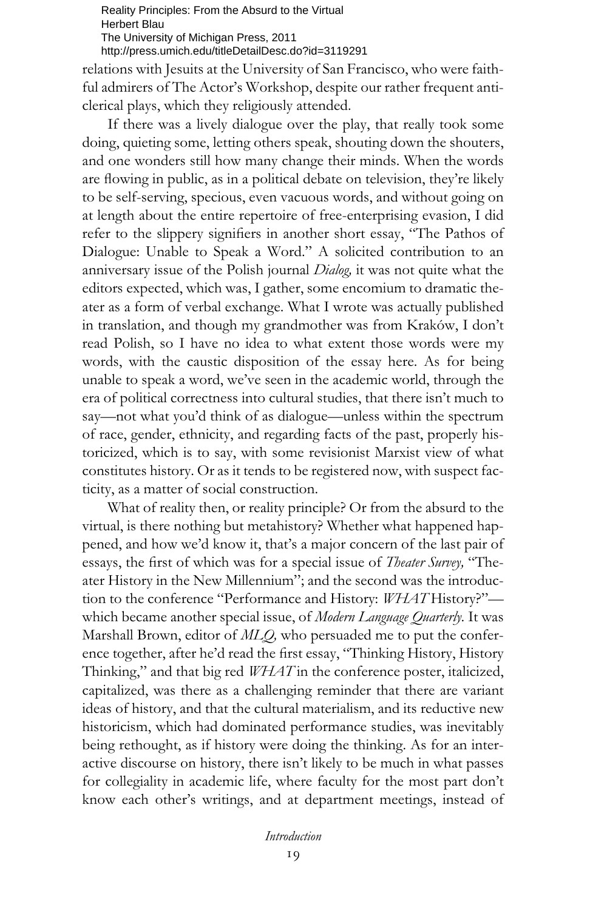relations with Jesuits at the University of San Francisco, who were faithful admirers of The Actor's Workshop, despite our rather frequent anticlerical plays, which they religiously attended.

If there was a lively dialogue over the play, that really took some doing, quieting some, letting others speak, shouting down the shouters, and one wonders still how many change their minds. When the words are flowing in public, as in a political debate on television, they're likely to be self-serving, specious, even vacuous words, and without going on at length about the entire repertoire of free-enterprising evasion, I did refer to the slippery signifiers in another short essay, "The Pathos of Dialogue: Unable to Speak a Word." A solicited contribution to an anniversary issue of the Polish journal *Dialog,* it was not quite what the editors expected, which was, I gather, some encomium to dramatic theater as a form of verbal exchange. What I wrote was actually published in translation, and though my grandmother was from Kraków, I don't read Polish, so I have no idea to what extent those words were my words, with the caustic disposition of the essay here. As for being unable to speak a word, we've seen in the academic world, through the era of political correctness into cultural studies, that there isn't much to say—not what you'd think of as dialogue—unless within the spectrum of race, gender, ethnicity, and regarding facts of the past, properly historicized, which is to say, with some revisionist Marxist view of what constitutes history. Or as it tends to be registered now, with suspect facticity, as a matter of social construction.

What of reality then, or reality principle? Or from the absurd to the virtual, is there nothing but metahistory? Whether what happened happened, and how we'd know it, that's a major concern of the last pair of essays, the first of which was for a special issue of *Theater Survey*, "Theater History in the New Millennium"; and the second was the introduction to the conference "Performance and History: *WHAT* History?" which became another special issue, of *Modern Language Quarterly.* It was Marshall Brown, editor of *MLQ,* who persuaded me to put the conference together, after he'd read the first essay, "Thinking History, History Thinking," and that big red *WHAT* in the conference poster, italicized, capitalized, was there as a challenging reminder that there are variant ideas of history, and that the cultural materialism, and its reductive new historicism, which had dominated performance studies, was inevitably being rethought, as if history were doing the thinking. As for an interactive discourse on history, there isn't likely to be much in what passes for collegiality in academic life, where faculty for the most part don't know each other's writings, and at department meetings, instead of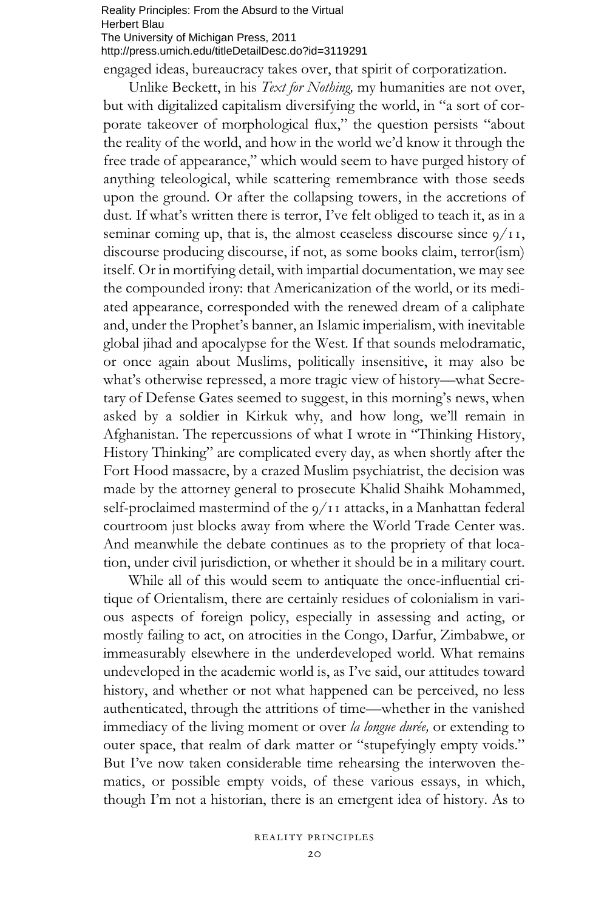engaged ideas, bureaucracy takes over, that spirit of corporatization.

Unlike Beckett, in his *Text for Nothing,* my humanities are not over, but with digitalized capitalism diversifying the world, in "a sort of corporate takeover of morphological flux," the question persists "about the reality of the world, and how in the world we'd know it through the free trade of appearance," which would seem to have purged history of anything teleological, while scattering remembrance with those seeds upon the ground. Or after the collapsing towers, in the accretions of dust. If what's written there is terror, I've felt obliged to teach it, as in a seminar coming up, that is, the almost ceaseless discourse since  $9/11$ , discourse producing discourse, if not, as some books claim, terror(ism) itself. Or in mortifying detail, with impartial documentation, we may see the compounded irony: that Americanization of the world, or its mediated appearance, corresponded with the renewed dream of a caliphate and, under the Prophet's banner, an Islamic imperialism, with inevitable global jihad and apocalypse for the West. If that sounds melodramatic, or once again about Muslims, politically insensitive, it may also be what's otherwise repressed, a more tragic view of history—what Secretary of Defense Gates seemed to suggest, in this morning's news, when asked by a soldier in Kirkuk why, and how long, we'll remain in Afghanistan. The repercussions of what I wrote in "Thinking History, History Thinking" are complicated every day, as when shortly after the Fort Hood massacre, by a crazed Muslim psychiatrist, the decision was made by the attorney general to prosecute Khalid Shaihk Mohammed, self-proclaimed mastermind of the  $9/11$  attacks, in a Manhattan federal courtroom just blocks away from where the World Trade Center was. And meanwhile the debate continues as to the propriety of that location, under civil jurisdiction, or whether it should be in a military court.

While all of this would seem to antiquate the once-influential critique of Orientalism, there are certainly residues of colonialism in various aspects of foreign policy, especially in assessing and acting, or mostly failing to act, on atrocities in the Congo, Darfur, Zimbabwe, or immeasurably elsewhere in the underdeveloped world. What remains undeveloped in the academic world is, as I've said, our attitudes toward history, and whether or not what happened can be perceived, no less authenticated, through the attritions of time—whether in the vanished immediacy of the living moment or over *la longue durée,* or extending to outer space, that realm of dark matter or "stupefyingly empty voids." But I've now taken considerable time rehearsing the interwoven thematics, or possible empty voids, of these various essays, in which, though I'm not a historian, there is an emergent idea of history. As to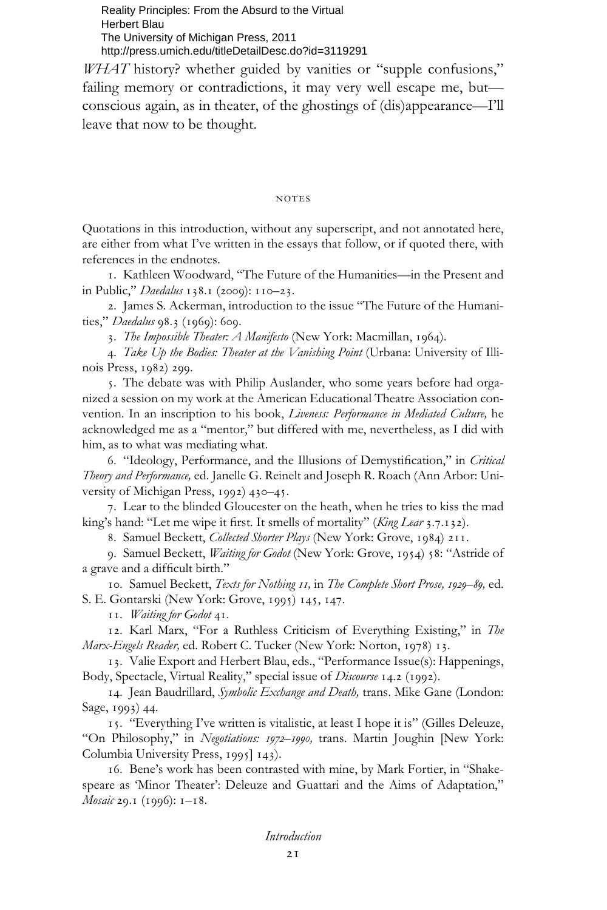*WHAT* history? whether guided by vanities or "supple confusions," failing memory or contradictions, it may very well escape me, but conscious again, as in theater, of the ghostings of (dis)appearance—I'll leave that now to be thought.

#### notes

Quotations in this introduction, without any superscript, and not annotated here, are either from what I've written in the essays that follow, or if quoted there, with references in the endnotes.

1. Kathleen Woodward, "The Future of the Humanities—in the Present and in Public," *Daedalus* 138.1 (2009): 110–23.

2. James S. Ackerman, introduction to the issue "The Future of the Humanities," *Daedalus* 98.3 (1969): 609.

3. *The Impossible Theater: A Manifesto* (New York: Macmillan, 1964).

4. *Take Up the Bodies: Theater at the Vanishing Point* (Urbana: University of Illinois Press, 1982) 299.

5. The debate was with Philip Auslander, who some years before had organized a session on my work at the American Educational Theatre Association convention. In an inscription to his book, *Liveness: Performance in Mediated Culture,* he acknowledged me as a "mentor," but differed with me, nevertheless, as I did with him, as to what was mediating what.

6. "Ideology, Performance, and the Illusions of Demystification," in *Critical Theory and Performance,* ed. Janelle G. Reinelt and Joseph R. Roach (Ann Arbor: University of Michigan Press, 1992) 430–45.

7. Lear to the blinded Gloucester on the heath, when he tries to kiss the mad king's hand: "Let me wipe it first. It smells of mortality" (*King Lear* 3.7.132).

8. Samuel Beckett, *Collected Shorter Plays* (New York: Grove, 1984) 211.

9. Samuel Beckett, *Waiting for Godot* (New York: Grove, 1954) 58: "Astride of a grave and a difficult birth."

10. Samuel Beckett, *Texts for Nothing 11,* in *The Complete Short Prose, 1929–89,* ed. S. E. Gontarski (New York: Grove, 1995) 145, 147.

11. *Waiting for Godot* 41.

12. Karl Marx, "For a Ruthless Criticism of Everything Existing," in *The Marx-Engels Reader,* ed. Robert C. Tucker (New York: Norton, 1978) 13.

13. Valie Export and Herbert Blau, eds., "Performance Issue(s): Happenings, Body, Spectacle, Virtual Reality," special issue of *Discourse* 14.2 (1992).

14. Jean Baudrillard, *Symbolic Exchange and Death,* trans. Mike Gane (London: Sage, 1993) 44.

15. "Everything I've written is vitalistic, at least I hope it is" (Gilles Deleuze, "On Philosophy," in *Negotiations: 1972–1990,* trans. Martin Joughin [New York: Columbia University Press, 1995] 143).

16. Bene's work has been contrasted with mine, by Mark Fortier, in "Shakespeare as 'Minor Theater': Deleuze and Guattari and the Aims of Adaptation," *Mosaic* 29.1 (1996): 1–18.